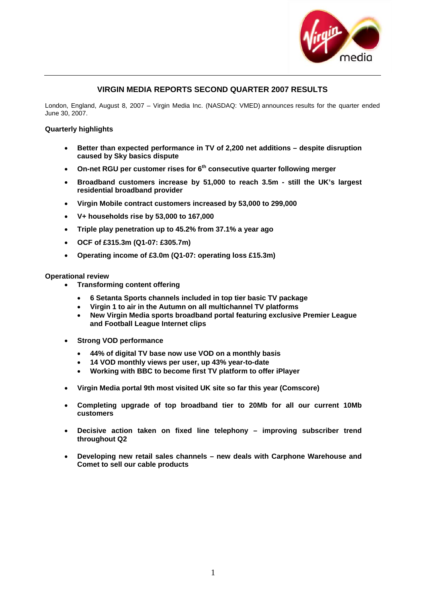

## **VIRGIN MEDIA REPORTS SECOND QUARTER 2007 RESULTS**

London, England, August 8, 2007 – Virgin Media Inc. (NASDAQ: VMED) announces results for the quarter ended June 30, 2007.

## **Quarterly highlights**

- **Better than expected performance in TV of 2,200 net additions despite disruption caused by Sky basics dispute**
- On-net RGU per customer rises for 6<sup>th</sup> consecutive quarter following merger
- **Broadband customers increase by 51,000 to reach 3.5m still the UK's largest residential broadband provider**
- **Virgin Mobile contract customers increased by 53,000 to 299,000**
- **V+ households rise by 53,000 to 167,000**
- **Triple play penetration up to 45.2% from 37.1% a year ago**
- **OCF of £315.3m (Q1-07: £305.7m)**
- **Operating income of £3.0m (Q1-07: operating loss £15.3m)**

### **Operational review**

- **Transforming content offering** 
	- **6 Setanta Sports channels included in top tier basic TV package**
	- **Virgin 1 to air in the Autumn on all multichannel TV platforms**
	- **New Virgin Media sports broadband portal featuring exclusive Premier League and Football League Internet clips**
- **Strong VOD performance**
	- **44% of digital TV base now use VOD on a monthly basis**
	- **14 VOD monthly views per user, up 43% year-to-date**
	- **Working with BBC to become first TV platform to offer iPlayer**
- **Virgin Media portal 9th most visited UK site so far this year (Comscore)**
- **Completing upgrade of top broadband tier to 20Mb for all our current 10Mb customers**
- **Decisive action taken on fixed line telephony improving subscriber trend throughout Q2**
- **Developing new retail sales channels new deals with Carphone Warehouse and Comet to sell our cable products**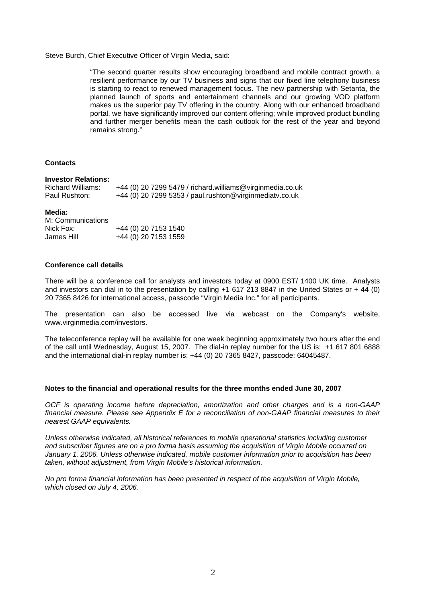Steve Burch, Chief Executive Officer of Virgin Media, said:

"The second quarter results show encouraging broadband and mobile contract growth, a resilient performance by our TV business and signs that our fixed line telephony business is starting to react to renewed management focus. The new partnership with Setanta, the planned launch of sports and entertainment channels and our growing VOD platform makes us the superior pay TV offering in the country. Along with our enhanced broadband portal, we have significantly improved our content offering; while improved product bundling and further merger benefits mean the cash outlook for the rest of the year and beyond remains strong."

### **Contacts**

#### **Investor Relations:**

| Richard Williams: | +44 (0) 20 7299 5479 / richard.williams@virginmedia.co.uk |
|-------------------|-----------------------------------------------------------|
| Paul Rushton:     | +44 (0) 20 7299 5353 / paul.rushton@virginmediatv.co.uk   |

#### **Media:**

| M: Communications |                      |
|-------------------|----------------------|
| Nick Fox:         | +44 (0) 20 7153 1540 |
| James Hill        | +44 (0) 20 7153 1559 |

### **Conference call details**

There will be a conference call for analysts and investors today at 0900 EST/ 1400 UK time. Analysts and investors can dial in to the presentation by calling  $+1$  617 213 8847 in the United States or  $+ 44$  (0) 20 7365 8426 for international access, passcode "Virgin Media Inc." for all participants.

The presentation can also be accessed live via webcast on the Company's website, [www.virginmedia.com/investors](http://www.ntl.com/investors).

The teleconference replay will be available for one week beginning approximately two hours after the end of the call until Wednesday, August 15, 2007. The dial-in replay number for the US is: +1 617 801 6888 and the international dial-in replay number is: +44 (0) 20 7365 8427, passcode: 64045487.

### **Notes to the financial and operational results for the three months ended June 30, 2007**

*OCF is operating income before depreciation, amortization and other charges and is a non-GAAP financial measure. Please see Appendix E for a reconciliation of non-GAAP financial measures to their nearest GAAP equivalents.* 

*Unless otherwise indicated, all historical references to mobile operational statistics including customer and subscriber figures are on a pro forma basis assuming the acquisition of Virgin Mobile occurred on January 1, 2006. Unless otherwise indicated, mobile customer information prior to acquisition has been taken, without adjustment, from Virgin Mobile's historical information.* 

*No pro forma financial information has been presented in respect of the acquisition of Virgin Mobile, which closed on July 4, 2006.*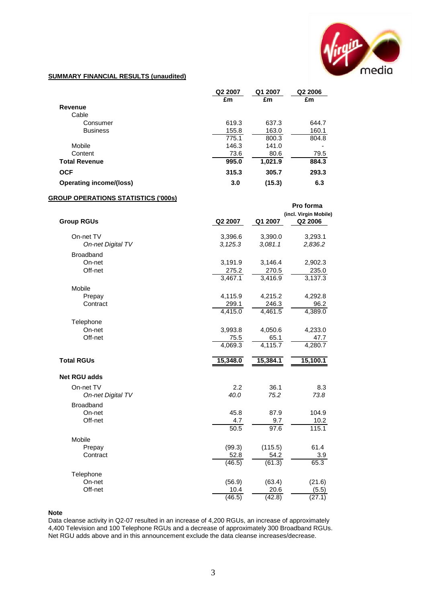

## **SUMMARY FINANCIAL RESULTS (unaudited)**

|                                | Q2 2007 | Q1 2007 | Q <sub>2</sub> 2006 |
|--------------------------------|---------|---------|---------------------|
|                                | £m      | £m      | £m                  |
| Revenue                        |         |         |                     |
| Cable                          |         |         |                     |
| Consumer                       | 619.3   | 637.3   | 644.7               |
| <b>Business</b>                | 155.8   | 163.0   | 160.1               |
|                                | 775.1   | 800.3   | 804.8               |
| Mobile                         | 146.3   | 141.0   |                     |
| Content                        | 73.6    | 80.6    | 79.5                |
| <b>Total Revenue</b>           | 995.0   | 1,021.9 | 884.3               |
| <b>OCF</b>                     | 315.3   | 305.7   | 293.3               |
| <b>Operating income/(loss)</b> | 3.0     | (15.3)  | 6.3                 |

#### **GROUP OPERATIONS STATISTICS ('000s)**

|                     |          |          | Pro forma<br>(incl. Virgin Mobile) |
|---------------------|----------|----------|------------------------------------|
| <b>Group RGUs</b>   | Q2 2007  | Q1 2007  | Q2 2006                            |
| On-net TV           | 3,396.6  | 3,390.0  | 3,293.1                            |
| On-net Digital TV   | 3,125.3  | 3,081.1  | 2,836.2                            |
| <b>Broadband</b>    |          |          |                                    |
| On-net              | 3,191.9  | 3,146.4  | 2,902.3                            |
| Off-net             | 275.2    | 270.5    | 235.0                              |
|                     | 3,467.1  | 3,416.9  | 3,137.3                            |
| Mobile              |          |          |                                    |
| Prepay              | 4,115.9  | 4,215.2  | 4,292.8                            |
| Contract            | 299.1    | 246.3    | 96.2                               |
|                     | 4,415.0  | 4,461.5  | 4,389.0                            |
| Telephone           |          |          |                                    |
| On-net              | 3,993.8  | 4,050.6  | 4,233.0                            |
| Off-net             | 75.5     | 65.1     | 47.7                               |
|                     | 4,069.3  | 4,115.7  | 4,280.7                            |
| <b>Total RGUs</b>   | 15,348.0 | 15,384.1 | 15,100.1                           |
| <b>Net RGU adds</b> |          |          |                                    |
| On-net TV           | 2.2      | 36.1     | 8.3                                |
| On-net Digital TV   | 40.0     | 75.2     | 73.8                               |
| <b>Broadband</b>    |          |          |                                    |
| On-net              | 45.8     | 87.9     | 104.9                              |
| Off-net             | 4.7      | 9.7      | 10.2                               |
|                     | 50.5     | 97.6     | 115.1                              |
| Mobile              |          |          |                                    |
| Prepay              | (99.3)   | (115.5)  | 61.4                               |
| Contract            | 52.8     | 54.2     | 3.9                                |
|                     | (46.5)   | (61.3)   | 65.3                               |
| Telephone           |          |          |                                    |
| On-net              | (56.9)   | (63.4)   | (21.6)                             |
| Off-net             | 10.4     | 20.6     | (5.5)                              |
|                     | (46.5)   | (42.8)   | (27.1)                             |

#### **Note**

Data cleanse activity in Q2-07 resulted in an increase of 4,200 RGUs, an increase of approximately 4,400 Television and 100 Telephone RGUs and a decrease of approximately 300 Broadband RGUs. Net RGU adds above and in this announcement exclude the data cleanse increases/decrease.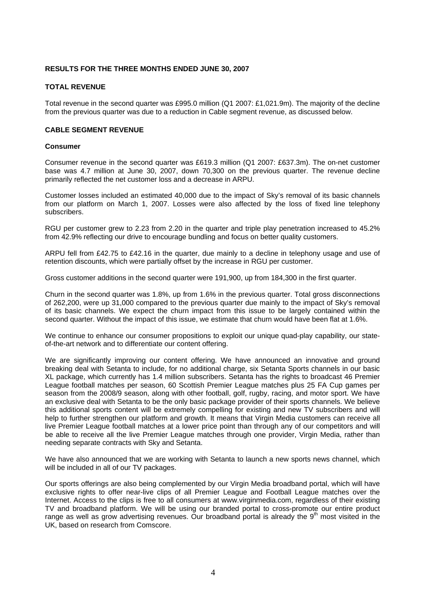## **RESULTS FOR THE THREE MONTHS ENDED JUNE 30, 2007**

### **TOTAL REVENUE**

Total revenue in the second quarter was £995.0 million (Q1 2007: £1,021.9m). The majority of the decline from the previous quarter was due to a reduction in Cable segment revenue, as discussed below.

## **CABLE SEGMENT REVENUE**

### **Consumer**

Consumer revenue in the second quarter was £619.3 million (Q1 2007: £637.3m). The on-net customer base was 4.7 million at June 30, 2007, down 70,300 on the previous quarter. The revenue decline primarily reflected the net customer loss and a decrease in ARPU.

Customer losses included an estimated 40,000 due to the impact of Sky's removal of its basic channels from our platform on March 1, 2007. Losses were also affected by the loss of fixed line telephony subscribers.

RGU per customer grew to 2.23 from 2.20 in the quarter and triple play penetration increased to 45.2% from 42.9% reflecting our drive to encourage bundling and focus on better quality customers.

ARPU fell from £42.75 to £42.16 in the quarter, due mainly to a decline in telephony usage and use of retention discounts, which were partially offset by the increase in RGU per customer.

Gross customer additions in the second quarter were 191,900, up from 184,300 in the first quarter.

Churn in the second quarter was 1.8%, up from 1.6% in the previous quarter. Total gross disconnections of 262,200, were up 31,000 compared to the previous quarter due mainly to the impact of Sky's removal of its basic channels. We expect the churn impact from this issue to be largely contained within the second quarter. Without the impact of this issue, we estimate that churn would have been flat at 1.6%.

We continue to enhance our consumer propositions to exploit our unique quad-play capability, our stateof-the-art network and to differentiate our content offering.

We are significantly improving our content offering. We have announced an innovative and ground breaking deal with Setanta to include, for no additional charge, six Setanta Sports channels in our basic XL package, which currently has 1.4 million subscribers. Setanta has the rights to broadcast 46 Premier League football matches per season, 60 Scottish Premier League matches plus 25 FA Cup games per season from the 2008/9 season, along with other football, golf, rugby, racing, and motor sport. We have an exclusive deal with Setanta to be the only basic package provider of their sports channels. We believe this additional sports content will be extremely compelling for existing and new TV subscribers and will help to further strengthen our platform and growth. It means that Virgin Media customers can receive all live Premier League football matches at a lower price point than through any of our competitors and will be able to receive all the live Premier League matches through one provider, Virgin Media, rather than needing separate contracts with Sky and Setanta.

We have also announced that we are working with Setanta to launch a new sports news channel, which will be included in all of our TV packages.

Our sports offerings are also being complemented by our Virgin Media broadband portal, which will have exclusive rights to offer near-live clips of all Premier League and Football League matches over the Internet. Access to the clips is free to all consumers at www.virginmedia.com, regardless of their existing TV and broadband platform. We will be using our branded portal to cross-promote our entire product range as well as grow advertising revenues. Our broadband portal is already the  $9<sup>th</sup>$  most visited in the UK, based on research from Comscore.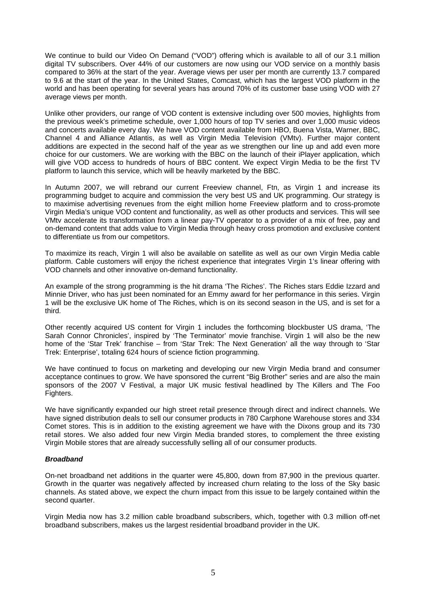We continue to build our Video On Demand ("VOD") offering which is available to all of our 3.1 million digital TV subscribers. Over 44% of our customers are now using our VOD service on a monthly basis compared to 36% at the start of the year. Average views per user per month are currently 13.7 compared to 9.6 at the start of the year. In the United States, Comcast, which has the largest VOD platform in the world and has been operating for several years has around 70% of its customer base using VOD with 27 average views per month.

Unlike other providers, our range of VOD content is extensive including over 500 movies, highlights from the previous week's primetime schedule, over 1,000 hours of top TV series and over 1,000 music videos and concerts available every day. We have VOD content available from HBO, Buena Vista, Warner, BBC, Channel 4 and Alliance Atlantis, as well as Virgin Media Television (VMtv). Further major content additions are expected in the second half of the year as we strengthen our line up and add even more choice for our customers. We are working with the BBC on the launch of their iPlayer application, which will give VOD access to hundreds of hours of BBC content. We expect Virgin Media to be the first TV platform to launch this service, which will be heavily marketed by the BBC.

In Autumn 2007, we will rebrand our current Freeview channel, Ftn, as Virgin 1 and increase its programming budget to acquire and commission the very best US and UK programming. Our strategy is to maximise advertising revenues from the eight million home Freeview platform and to cross-promote Virgin Media's unique VOD content and functionality, as well as other products and services. This will see VMtv accelerate its transformation from a linear pay-TV operator to a provider of a mix of free, pay and on-demand content that adds value to Virgin Media through heavy cross promotion and exclusive content to differentiate us from our competitors.

To maximize its reach, Virgin 1 will also be available on satellite as well as our own Virgin Media cable platform. Cable customers will enjoy the richest experience that integrates Virgin 1's linear offering with VOD channels and other innovative on-demand functionality.

An example of the strong programming is the hit drama 'The Riches'. The Riches stars Eddie Izzard and Minnie Driver, who has just been nominated for an Emmy award for her performance in this series. Virgin 1 will be the exclusive UK home of The Riches, which is on its second season in the US, and is set for a third.

Other recently acquired US content for Virgin 1 includes the forthcoming blockbuster US drama, 'The Sarah Connor Chronicles', inspired by 'The Terminator' movie franchise. Virgin 1 will also be the new home of the 'Star Trek' franchise – from 'Star Trek: The Next Generation' all the way through to 'Star Trek: Enterprise', totaling 624 hours of science fiction programming.

We have continued to focus on marketing and developing our new Virgin Media brand and consumer acceptance continues to grow. We have sponsored the current "Big Brother" series and are also the main sponsors of the 2007 V Festival, a major UK music festival headlined by The Killers and The Foo Fighters.

We have significantly expanded our high street retail presence through direct and indirect channels. We have signed distribution deals to sell our consumer products in 780 Carphone Warehouse stores and 334 Comet stores. This is in addition to the existing agreement we have with the Dixons group and its 730 retail stores. We also added four new Virgin Media branded stores, to complement the three existing Virgin Mobile stores that are already successfully selling all of our consumer products.

## *Broadband*

On-net broadband net additions in the quarter were 45,800, down from 87,900 in the previous quarter. Growth in the quarter was negatively affected by increased churn relating to the loss of the Sky basic channels. As stated above, we expect the churn impact from this issue to be largely contained within the second quarter.

Virgin Media now has 3.2 million cable broadband subscribers, which, together with 0.3 million off-net broadband subscribers, makes us the largest residential broadband provider in the UK.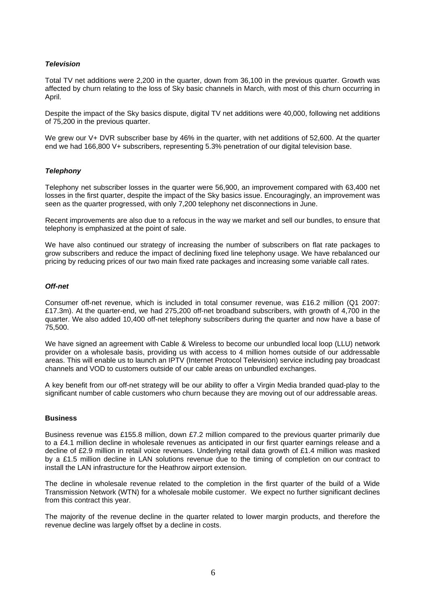## *Television*

Total TV net additions were 2,200 in the quarter, down from 36,100 in the previous quarter. Growth was affected by churn relating to the loss of Sky basic channels in March, with most of this churn occurring in April.

Despite the impact of the Sky basics dispute, digital TV net additions were 40,000, following net additions of 75,200 in the previous quarter.

We grew our V+ DVR subscriber base by 46% in the quarter, with net additions of 52,600. At the quarter end we had 166,800 V+ subscribers, representing 5.3% penetration of our digital television base.

## *Telephony*

Telephony net subscriber losses in the quarter were 56,900, an improvement compared with 63,400 net losses in the first quarter, despite the impact of the Sky basics issue. Encouragingly, an improvement was seen as the quarter progressed, with only 7,200 telephony net disconnections in June.

Recent improvements are also due to a refocus in the way we market and sell our bundles, to ensure that telephony is emphasized at the point of sale.

We have also continued our strategy of increasing the number of subscribers on flat rate packages to grow subscribers and reduce the impact of declining fixed line telephony usage. We have rebalanced our pricing by reducing prices of our two main fixed rate packages and increasing some variable call rates.

## *Off-net*

Consumer off-net revenue, which is included in total consumer revenue, was £16.2 million (Q1 2007: £17.3m). At the quarter-end, we had 275,200 off-net broadband subscribers, with growth of 4,700 in the quarter. We also added 10,400 off-net telephony subscribers during the quarter and now have a base of 75,500.

We have signed an agreement with Cable & Wireless to become our unbundled local loop (LLU) network provider on a wholesale basis, providing us with access to 4 million homes outside of our addressable areas. This will enable us to launch an IPTV (Internet Protocol Television) service including pay broadcast channels and VOD to customers outside of our cable areas on unbundled exchanges.

A key benefit from our off-net strategy will be our ability to offer a Virgin Media branded quad-play to the significant number of cable customers who churn because they are moving out of our addressable areas.

### **Business**

Business revenue was £155.8 million, down £7.2 million compared to the previous quarter primarily due to a £4.1 million decline in wholesale revenues as anticipated in our first quarter earnings release and a decline of £2.9 million in retail voice revenues. Underlying retail data growth of £1.4 million was masked by a £1.5 million decline in LAN solutions revenue due to the timing of completion on our contract to install the LAN infrastructure for the Heathrow airport extension.

The decline in wholesale revenue related to the completion in the first quarter of the build of a Wide Transmission Network (WTN) for a wholesale mobile customer. We expect no further significant declines from this contract this year.

The majority of the revenue decline in the quarter related to lower margin products, and therefore the revenue decline was largely offset by a decline in costs.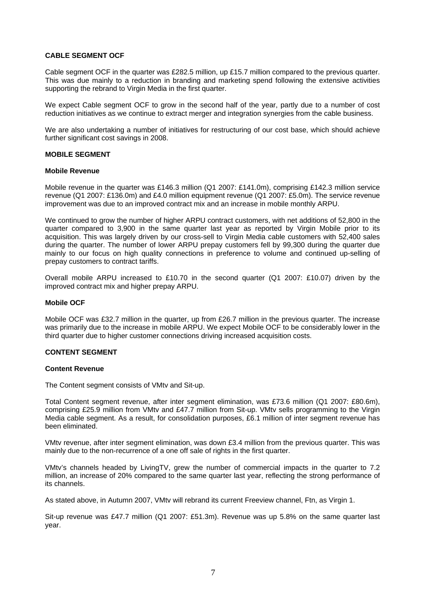## **CABLE SEGMENT OCF**

Cable segment OCF in the quarter was £282.5 million, up £15.7 million compared to the previous quarter. This was due mainly to a reduction in branding and marketing spend following the extensive activities supporting the rebrand to Virgin Media in the first quarter.

We expect Cable segment OCF to grow in the second half of the year, partly due to a number of cost reduction initiatives as we continue to extract merger and integration synergies from the cable business.

We are also undertaking a number of initiatives for restructuring of our cost base, which should achieve further significant cost savings in 2008.

### **MOBILE SEGMENT**

#### **Mobile Revenue**

Mobile revenue in the quarter was £146.3 million (Q1 2007: £141.0m), comprising £142.3 million service revenue (Q1 2007: £136.0m) and £4.0 million equipment revenue (Q1 2007: £5.0m). The service revenue improvement was due to an improved contract mix and an increase in mobile monthly ARPU.

We continued to grow the number of higher ARPU contract customers, with net additions of 52,800 in the quarter compared to 3,900 in the same quarter last year as reported by Virgin Mobile prior to its acquisition. This was largely driven by our cross-sell to Virgin Media cable customers with 52,400 sales during the quarter. The number of lower ARPU prepay customers fell by 99,300 during the quarter due mainly to our focus on high quality connections in preference to volume and continued up-selling of prepay customers to contract tariffs.

Overall mobile ARPU increased to £10.70 in the second quarter (Q1 2007: £10.07) driven by the improved contract mix and higher prepay ARPU.

#### **Mobile OCF**

Mobile OCF was £32.7 million in the quarter, up from £26.7 million in the previous quarter. The increase was primarily due to the increase in mobile ARPU. We expect Mobile OCF to be considerably lower in the third quarter due to higher customer connections driving increased acquisition costs.

### **CONTENT SEGMENT**

### **Content Revenue**

The Content segment consists of VMtv and Sit-up.

Total Content segment revenue, after inter segment elimination, was £73.6 million (Q1 2007: £80.6m), comprising £25.9 million from VMtv and £47.7 million from Sit-up. VMtv sells programming to the Virgin Media cable segment. As a result, for consolidation purposes, £6.1 million of inter segment revenue has been eliminated.

VMtv revenue, after inter segment elimination, was down £3.4 million from the previous quarter. This was mainly due to the non-recurrence of a one off sale of rights in the first quarter.

VMtv's channels headed by LivingTV, grew the number of commercial impacts in the quarter to 7.2 million, an increase of 20% compared to the same quarter last year, reflecting the strong performance of its channels.

As stated above, in Autumn 2007, VMtv will rebrand its current Freeview channel, Ftn, as Virgin 1.

Sit-up revenue was £47.7 million (Q1 2007: £51.3m). Revenue was up 5.8% on the same quarter last year.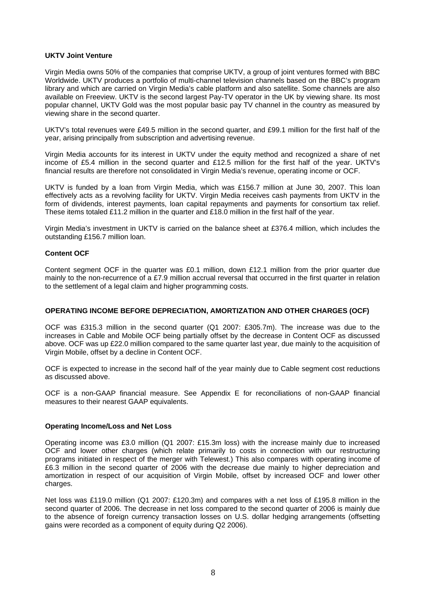## **UKTV Joint Venture**

Virgin Media owns 50% of the companies that comprise UKTV, a group of joint ventures formed with BBC Worldwide. UKTV produces a portfolio of multi-channel television channels based on the BBC's program library and which are carried on Virgin Media's cable platform and also satellite. Some channels are also available on Freeview. UKTV is the second largest Pay-TV operator in the UK by viewing share. Its most popular channel, UKTV Gold was the most popular basic pay TV channel in the country as measured by viewing share in the second quarter.

UKTV's total revenues were £49.5 million in the second quarter, and £99.1 million for the first half of the year, arising principally from subscription and advertising revenue.

Virgin Media accounts for its interest in UKTV under the equity method and recognized a share of net income of £5.4 million in the second quarter and £12.5 million for the first half of the year. UKTV's financial results are therefore not consolidated in Virgin Media's revenue, operating income or OCF.

UKTV is funded by a loan from Virgin Media, which was £156.7 million at June 30, 2007. This loan effectively acts as a revolving facility for UKTV. Virgin Media receives cash payments from UKTV in the form of dividends, interest payments, loan capital repayments and payments for consortium tax relief. These items totaled £11.2 million in the quarter and £18.0 million in the first half of the year.

Virgin Media's investment in UKTV is carried on the balance sheet at £376.4 million, which includes the outstanding £156.7 million loan.

### **Content OCF**

Content segment OCF in the quarter was £0.1 million, down £12.1 million from the prior quarter due mainly to the non-recurrence of a £7.9 million accrual reversal that occurred in the first quarter in relation to the settlement of a legal claim and higher programming costs.

### **OPERATING INCOME BEFORE DEPRECIATION, AMORTIZATION AND OTHER CHARGES (OCF)**

OCF was £315.3 million in the second quarter (Q1 2007: £305.7m). The increase was due to the increases in Cable and Mobile OCF being partially offset by the decrease in Content OCF as discussed above. OCF was up £22.0 million compared to the same quarter last year, due mainly to the acquisition of Virgin Mobile, offset by a decline in Content OCF.

OCF is expected to increase in the second half of the year mainly due to Cable segment cost reductions as discussed above.

OCF is a non-GAAP financial measure. See Appendix E for reconciliations of non-GAAP financial measures to their nearest GAAP equivalents.

### **Operating Income/Loss and Net Loss**

Operating income was £3.0 million (Q1 2007: £15.3m loss) with the increase mainly due to increased OCF and lower other charges (which relate primarily to costs in connection with our restructuring programs initiated in respect of the merger with Telewest.) This also compares with operating income of £6.3 million in the second quarter of 2006 with the decrease due mainly to higher depreciation and amortization in respect of our acquisition of Virgin Mobile, offset by increased OCF and lower other charges.

Net loss was £119.0 million (Q1 2007: £120.3m) and compares with a net loss of £195.8 million in the second quarter of 2006. The decrease in net loss compared to the second quarter of 2006 is mainly due to the absence of foreign currency transaction losses on U.S. dollar hedging arrangements (offsetting gains were recorded as a component of equity during Q2 2006).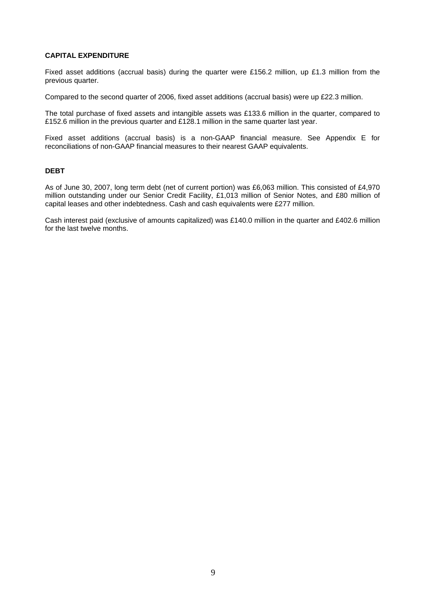## **CAPITAL EXPENDITURE**

Fixed asset additions (accrual basis) during the quarter were £156.2 million, up £1.3 million from the previous quarter.

Compared to the second quarter of 2006, fixed asset additions (accrual basis) were up £22.3 million.

The total purchase of fixed assets and intangible assets was £133.6 million in the quarter, compared to £152.6 million in the previous quarter and £128.1 million in the same quarter last year.

Fixed asset additions (accrual basis) is a non-GAAP financial measure. See Appendix E for reconciliations of non-GAAP financial measures to their nearest GAAP equivalents.

## **DEBT**

As of June 30, 2007, long term debt (net of current portion) was £6,063 million. This consisted of £4,970 million outstanding under our Senior Credit Facility, £1,013 million of Senior Notes, and £80 million of capital leases and other indebtedness. Cash and cash equivalents were £277 million.

Cash interest paid (exclusive of amounts capitalized) was £140.0 million in the quarter and £402.6 million for the last twelve months.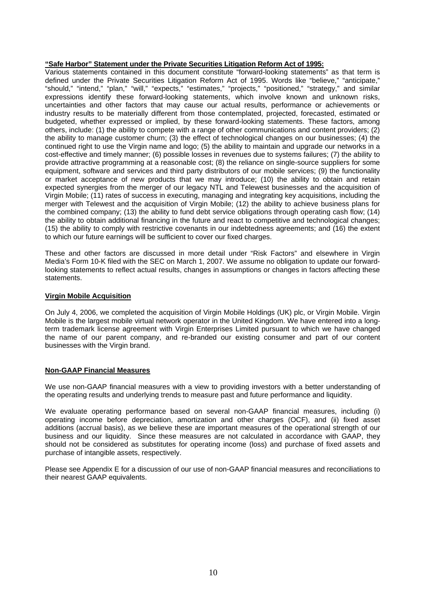## **"Safe Harbor" Statement under the Private Securities Litigation Reform Act of 1995:**

Various statements contained in this document constitute "forward-looking statements" as that term is defined under the Private Securities Litigation Reform Act of 1995. Words like "believe," "anticipate," "should," "intend," "plan," "will," "expects," "estimates," "projects," "positioned," "strategy," and similar expressions identify these forward-looking statements, which involve known and unknown risks, uncertainties and other factors that may cause our actual results, performance or achievements or industry results to be materially different from those contemplated, projected, forecasted, estimated or budgeted, whether expressed or implied, by these forward-looking statements. These factors, among others, include: (1) the ability to compete with a range of other communications and content providers; (2) the ability to manage customer churn; (3) the effect of technological changes on our businesses; (4) the continued right to use the Virgin name and logo; (5) the ability to maintain and upgrade our networks in a cost-effective and timely manner; (6) possible losses in revenues due to systems failures; (7) the ability to provide attractive programming at a reasonable cost; (8) the reliance on single-source suppliers for some equipment, software and services and third party distributors of our mobile services; (9) the functionality or market acceptance of new products that we may introduce; (10) the ability to obtain and retain expected synergies from the merger of our legacy NTL and Telewest businesses and the acquisition of Virgin Mobile; (11) rates of success in executing, managing and integrating key acquisitions, including the merger with Telewest and the acquisition of Virgin Mobile; (12) the ability to achieve business plans for the combined company; (13) the ability to fund debt service obligations through operating cash flow; (14) the ability to obtain additional financing in the future and react to competitive and technological changes; (15) the ability to comply with restrictive covenants in our indebtedness agreements; and (16) the extent to which our future earnings will be sufficient to cover our fixed charges.

These and other factors are discussed in more detail under "Risk Factors" and elsewhere in Virgin Media's Form 10-K filed with the SEC on March 1, 2007. We assume no obligation to update our forwardlooking statements to reflect actual results, changes in assumptions or changes in factors affecting these statements.

## **Virgin Mobile Acquisition**

On July 4, 2006, we completed the acquisition of Virgin Mobile Holdings (UK) plc, or Virgin Mobile. Virgin Mobile is the largest mobile virtual network operator in the United Kingdom. We have entered into a longterm trademark license agreement with Virgin Enterprises Limited pursuant to which we have changed the name of our parent company, and re-branded our existing consumer and part of our content businesses with the Virgin brand.

## **Non-GAAP Financial Measures**

We use non-GAAP financial measures with a view to providing investors with a better understanding of the operating results and underlying trends to measure past and future performance and liquidity.

We evaluate operating performance based on several non-GAAP financial measures, including (i) operating income before depreciation, amortization and other charges (OCF), and (ii) fixed asset additions (accrual basis), as we believe these are important measures of the operational strength of our business and our liquidity. Since these measures are not calculated in accordance with GAAP, they should not be considered as substitutes for operating income (loss) and purchase of fixed assets and purchase of intangible assets, respectively.

Please see Appendix E for a discussion of our use of non-GAAP financial measures and reconciliations to their nearest GAAP equivalents.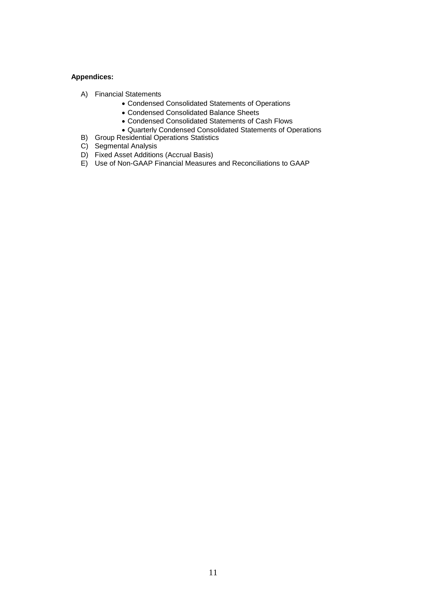## **Appendices:**

- A) Financial Statements
	- Condensed Consolidated Statements of Operations
	- Condensed Consolidated Balance Sheets
	- Condensed Consolidated Statements of Cash Flows
	- Quarterly Condensed Consolidated Statements of Operations
- B) Group Residential Operations Statistics
- C) Segmental Analysis
- D) Fixed Asset Additions (Accrual Basis)
- E) Use of Non-GAAP Financial Measures and Reconciliations to GAAP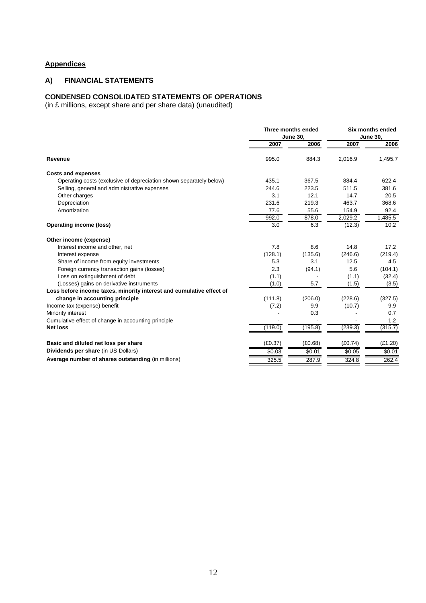# **Appendices**

## **A) FINANCIAL STATEMENTS**

#### **CONDENSED CONSOLIDATED STATEMENTS OF OPERATIONS**

(in £ millions, except share and per share data) (unaudited)

| 2006<br>2007<br>2007<br>2006<br>995.0<br>884.3<br>2,016.9<br>1,495.7<br>Revenue<br><b>Costs and expenses</b><br>622.4<br>Operating costs (exclusive of depreciation shown separately below)<br>435.1<br>367.5<br>884.4<br>244.6<br>223.5<br>511.5<br>381.6<br>Selling, general and administrative expenses<br>3.1<br>12.1<br>Other charges<br>14.7<br>20.5<br>231.6<br>219.3<br>Depreciation<br>463.7<br>368.6<br>55.6<br>154.9<br>92.4<br>Amortization<br>77.6<br>992.0<br>878.0<br>2,029.2<br>1,485.5<br>3.0<br>6.3<br>(12.3)<br>10.2<br><b>Operating income (loss)</b><br>Other income (expense)<br>7.8<br>Interest income and other, net<br>8.6<br>14.8<br>17.2<br>(128.1)<br>Interest expense<br>(135.6)<br>(246.6)<br>(219.4)<br>5.3<br>3.1<br>Share of income from equity investments<br>12.5<br>4.5<br>Foreign currency transaction gains (losses)<br>2.3<br>5.6<br>(104.1)<br>(94.1)<br>Loss on extinguishment of debt<br>(1.1)<br>(1.1)<br>(32.4)<br>(Losses) gains on derivative instruments<br>(1.0)<br>5.7<br>(1.5)<br>(3.5)<br>Loss before income taxes, minority interest and cumulative effect of<br>change in accounting principle<br>(111.8)<br>(228.6)<br>(327.5)<br>(206.0)<br>Income tax (expense) benefit<br>(7.2)<br>9.9<br>(10.7)<br>9.9<br>Minority interest<br>0.3<br>0.7<br>1.2<br>Cumulative effect of change in accounting principle<br>(195.8)<br>(239.3)<br>(315.7)<br><b>Net loss</b><br>(119.0)<br>(E1.20)<br>Basic and diluted net loss per share<br>(E0.37)<br>(E0.68)<br>(E0.74)<br>Dividends per share (in US Dollars)<br>\$0.03<br>\$0.01<br>\$0.05<br>\$0.01<br>Average number of shares outstanding (in millions)<br>287.9<br>324.8<br>262.4<br>325.5 | Three months ended<br><b>June 30,</b> |  | Six months ended<br><b>June 30,</b> |  |
|-----------------------------------------------------------------------------------------------------------------------------------------------------------------------------------------------------------------------------------------------------------------------------------------------------------------------------------------------------------------------------------------------------------------------------------------------------------------------------------------------------------------------------------------------------------------------------------------------------------------------------------------------------------------------------------------------------------------------------------------------------------------------------------------------------------------------------------------------------------------------------------------------------------------------------------------------------------------------------------------------------------------------------------------------------------------------------------------------------------------------------------------------------------------------------------------------------------------------------------------------------------------------------------------------------------------------------------------------------------------------------------------------------------------------------------------------------------------------------------------------------------------------------------------------------------------------------------------------------------------------------------------------------------------------------------------------|---------------------------------------|--|-------------------------------------|--|
|                                                                                                                                                                                                                                                                                                                                                                                                                                                                                                                                                                                                                                                                                                                                                                                                                                                                                                                                                                                                                                                                                                                                                                                                                                                                                                                                                                                                                                                                                                                                                                                                                                                                                               |                                       |  |                                     |  |
|                                                                                                                                                                                                                                                                                                                                                                                                                                                                                                                                                                                                                                                                                                                                                                                                                                                                                                                                                                                                                                                                                                                                                                                                                                                                                                                                                                                                                                                                                                                                                                                                                                                                                               |                                       |  |                                     |  |
|                                                                                                                                                                                                                                                                                                                                                                                                                                                                                                                                                                                                                                                                                                                                                                                                                                                                                                                                                                                                                                                                                                                                                                                                                                                                                                                                                                                                                                                                                                                                                                                                                                                                                               |                                       |  |                                     |  |
|                                                                                                                                                                                                                                                                                                                                                                                                                                                                                                                                                                                                                                                                                                                                                                                                                                                                                                                                                                                                                                                                                                                                                                                                                                                                                                                                                                                                                                                                                                                                                                                                                                                                                               |                                       |  |                                     |  |
|                                                                                                                                                                                                                                                                                                                                                                                                                                                                                                                                                                                                                                                                                                                                                                                                                                                                                                                                                                                                                                                                                                                                                                                                                                                                                                                                                                                                                                                                                                                                                                                                                                                                                               |                                       |  |                                     |  |
|                                                                                                                                                                                                                                                                                                                                                                                                                                                                                                                                                                                                                                                                                                                                                                                                                                                                                                                                                                                                                                                                                                                                                                                                                                                                                                                                                                                                                                                                                                                                                                                                                                                                                               |                                       |  |                                     |  |
|                                                                                                                                                                                                                                                                                                                                                                                                                                                                                                                                                                                                                                                                                                                                                                                                                                                                                                                                                                                                                                                                                                                                                                                                                                                                                                                                                                                                                                                                                                                                                                                                                                                                                               |                                       |  |                                     |  |
|                                                                                                                                                                                                                                                                                                                                                                                                                                                                                                                                                                                                                                                                                                                                                                                                                                                                                                                                                                                                                                                                                                                                                                                                                                                                                                                                                                                                                                                                                                                                                                                                                                                                                               |                                       |  |                                     |  |
|                                                                                                                                                                                                                                                                                                                                                                                                                                                                                                                                                                                                                                                                                                                                                                                                                                                                                                                                                                                                                                                                                                                                                                                                                                                                                                                                                                                                                                                                                                                                                                                                                                                                                               |                                       |  |                                     |  |
|                                                                                                                                                                                                                                                                                                                                                                                                                                                                                                                                                                                                                                                                                                                                                                                                                                                                                                                                                                                                                                                                                                                                                                                                                                                                                                                                                                                                                                                                                                                                                                                                                                                                                               |                                       |  |                                     |  |
|                                                                                                                                                                                                                                                                                                                                                                                                                                                                                                                                                                                                                                                                                                                                                                                                                                                                                                                                                                                                                                                                                                                                                                                                                                                                                                                                                                                                                                                                                                                                                                                                                                                                                               |                                       |  |                                     |  |
|                                                                                                                                                                                                                                                                                                                                                                                                                                                                                                                                                                                                                                                                                                                                                                                                                                                                                                                                                                                                                                                                                                                                                                                                                                                                                                                                                                                                                                                                                                                                                                                                                                                                                               |                                       |  |                                     |  |
|                                                                                                                                                                                                                                                                                                                                                                                                                                                                                                                                                                                                                                                                                                                                                                                                                                                                                                                                                                                                                                                                                                                                                                                                                                                                                                                                                                                                                                                                                                                                                                                                                                                                                               |                                       |  |                                     |  |
|                                                                                                                                                                                                                                                                                                                                                                                                                                                                                                                                                                                                                                                                                                                                                                                                                                                                                                                                                                                                                                                                                                                                                                                                                                                                                                                                                                                                                                                                                                                                                                                                                                                                                               |                                       |  |                                     |  |
|                                                                                                                                                                                                                                                                                                                                                                                                                                                                                                                                                                                                                                                                                                                                                                                                                                                                                                                                                                                                                                                                                                                                                                                                                                                                                                                                                                                                                                                                                                                                                                                                                                                                                               |                                       |  |                                     |  |
|                                                                                                                                                                                                                                                                                                                                                                                                                                                                                                                                                                                                                                                                                                                                                                                                                                                                                                                                                                                                                                                                                                                                                                                                                                                                                                                                                                                                                                                                                                                                                                                                                                                                                               |                                       |  |                                     |  |
|                                                                                                                                                                                                                                                                                                                                                                                                                                                                                                                                                                                                                                                                                                                                                                                                                                                                                                                                                                                                                                                                                                                                                                                                                                                                                                                                                                                                                                                                                                                                                                                                                                                                                               |                                       |  |                                     |  |
|                                                                                                                                                                                                                                                                                                                                                                                                                                                                                                                                                                                                                                                                                                                                                                                                                                                                                                                                                                                                                                                                                                                                                                                                                                                                                                                                                                                                                                                                                                                                                                                                                                                                                               |                                       |  |                                     |  |
|                                                                                                                                                                                                                                                                                                                                                                                                                                                                                                                                                                                                                                                                                                                                                                                                                                                                                                                                                                                                                                                                                                                                                                                                                                                                                                                                                                                                                                                                                                                                                                                                                                                                                               |                                       |  |                                     |  |
|                                                                                                                                                                                                                                                                                                                                                                                                                                                                                                                                                                                                                                                                                                                                                                                                                                                                                                                                                                                                                                                                                                                                                                                                                                                                                                                                                                                                                                                                                                                                                                                                                                                                                               |                                       |  |                                     |  |
|                                                                                                                                                                                                                                                                                                                                                                                                                                                                                                                                                                                                                                                                                                                                                                                                                                                                                                                                                                                                                                                                                                                                                                                                                                                                                                                                                                                                                                                                                                                                                                                                                                                                                               |                                       |  |                                     |  |
|                                                                                                                                                                                                                                                                                                                                                                                                                                                                                                                                                                                                                                                                                                                                                                                                                                                                                                                                                                                                                                                                                                                                                                                                                                                                                                                                                                                                                                                                                                                                                                                                                                                                                               |                                       |  |                                     |  |
|                                                                                                                                                                                                                                                                                                                                                                                                                                                                                                                                                                                                                                                                                                                                                                                                                                                                                                                                                                                                                                                                                                                                                                                                                                                                                                                                                                                                                                                                                                                                                                                                                                                                                               |                                       |  |                                     |  |
|                                                                                                                                                                                                                                                                                                                                                                                                                                                                                                                                                                                                                                                                                                                                                                                                                                                                                                                                                                                                                                                                                                                                                                                                                                                                                                                                                                                                                                                                                                                                                                                                                                                                                               |                                       |  |                                     |  |
|                                                                                                                                                                                                                                                                                                                                                                                                                                                                                                                                                                                                                                                                                                                                                                                                                                                                                                                                                                                                                                                                                                                                                                                                                                                                                                                                                                                                                                                                                                                                                                                                                                                                                               |                                       |  |                                     |  |
|                                                                                                                                                                                                                                                                                                                                                                                                                                                                                                                                                                                                                                                                                                                                                                                                                                                                                                                                                                                                                                                                                                                                                                                                                                                                                                                                                                                                                                                                                                                                                                                                                                                                                               |                                       |  |                                     |  |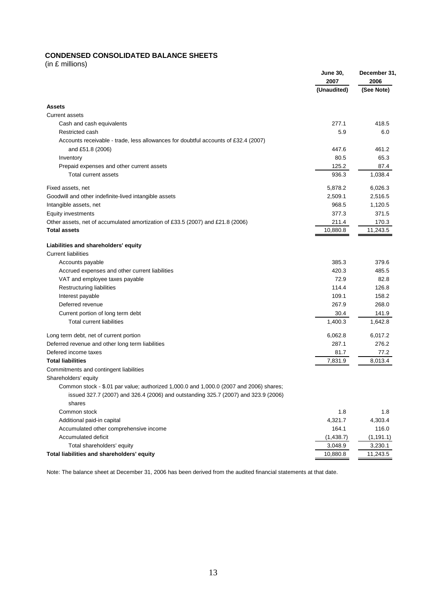# **CONDENSED CONSOLIDATED BALANCE SHEETS**

(in £ millions)

|                                                                                                                                                                                | <b>June 30,</b><br>2007 | December 31<br>2006 |
|--------------------------------------------------------------------------------------------------------------------------------------------------------------------------------|-------------------------|---------------------|
|                                                                                                                                                                                | (Unaudited)             | (See Note)          |
| <b>Assets</b>                                                                                                                                                                  |                         |                     |
| <b>Current assets</b>                                                                                                                                                          |                         |                     |
| Cash and cash equivalents                                                                                                                                                      | 277.1                   | 418.5               |
| Restricted cash                                                                                                                                                                | 5.9                     | 6.0                 |
| Accounts receivable - trade, less allowances for doubtful accounts of £32.4 (2007)                                                                                             |                         |                     |
| and £51.8 (2006)                                                                                                                                                               | 447.6                   | 461.2               |
| Inventory                                                                                                                                                                      | 80.5                    | 65.3                |
| Prepaid expenses and other current assets                                                                                                                                      | 125.2                   | 87.4                |
| Total current assets                                                                                                                                                           | 936.3                   | 1,038.4             |
| Fixed assets, net                                                                                                                                                              | 5,878.2                 | 6,026.3             |
| Goodwill and other indefinite-lived intangible assets                                                                                                                          | 2,509.1                 | 2,516.5             |
| Intangible assets, net                                                                                                                                                         | 968.5                   | 1,120.5             |
| <b>Equity investments</b>                                                                                                                                                      | 377.3                   | 371.5               |
| Other assets, net of accumulated amortization of £33.5 (2007) and £21.8 (2006)                                                                                                 | 211.4                   | 170.3               |
| <b>Total assets</b>                                                                                                                                                            | 10,880.8                | 11,243.5            |
| Liabilities and shareholders' equity                                                                                                                                           |                         |                     |
| <b>Current liabilities</b>                                                                                                                                                     |                         |                     |
| Accounts payable                                                                                                                                                               | 385.3                   | 379.6               |
| Accrued expenses and other current liabilities                                                                                                                                 | 420.3                   | 485.5               |
| VAT and employee taxes payable                                                                                                                                                 | 72.9                    | 82.8                |
| Restructuring liabilities                                                                                                                                                      | 114.4                   | 126.8               |
| Interest payable                                                                                                                                                               | 109.1                   | 158.2               |
| Deferred revenue                                                                                                                                                               | 267.9                   | 268.0               |
| Current portion of long term debt                                                                                                                                              | 30.4                    | 141.9               |
| Total current liabilities                                                                                                                                                      | 1,400.3                 | 1,642.8             |
| Long term debt, net of current portion                                                                                                                                         | 6,062.8                 | 6,017.2             |
| Deferred revenue and other long term liabilities                                                                                                                               | 287.1                   | 276.2               |
| Defered income taxes                                                                                                                                                           | 81.7                    | 77.2                |
| <b>Total liabilities</b>                                                                                                                                                       | 7,831.9                 | 8,013.4             |
| Commitments and contingent liabilities                                                                                                                                         |                         |                     |
| Shareholders' equity                                                                                                                                                           |                         |                     |
| Common stock $-$ \$.01 par value; authorized 1,000.0 and 1,000.0 (2007 and 2006) shares;<br>issued 327.7 (2007) and 326.4 (2006) and outstanding 325.7 (2007) and 323.9 (2006) |                         |                     |
| shares                                                                                                                                                                         |                         |                     |
| Common stock                                                                                                                                                                   | 1.8                     | 1.8                 |
| Additional paid-in capital                                                                                                                                                     | 4,321.7                 | 4,303.4             |
| Accumulated other comprehensive income                                                                                                                                         | 164.1                   | 116.0               |
| Accumulated deficit                                                                                                                                                            | (1,438.7)               | (1, 191.1)          |
| Total shareholders' equity                                                                                                                                                     | 3,048.9                 | 3,230.1             |
| Total liabilities and shareholders' equity                                                                                                                                     | 10,880.8                | 11,243.5            |

Note: The balance sheet at December 31, 2006 has been derived from the audited financial statements at that date.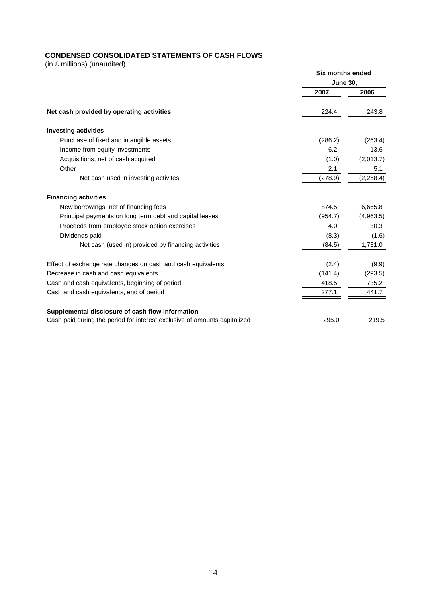# **CONDENSED CONSOLIDATED STATEMENTS OF CASH FLOWS**

(in £ millions) (unaudited)

|                                                                           | Six months ended |            |  |
|---------------------------------------------------------------------------|------------------|------------|--|
|                                                                           | <b>June 30,</b>  |            |  |
|                                                                           | 2007             | 2006       |  |
| Net cash provided by operating activities                                 | 224.4            | 243.8      |  |
| <b>Investing activities</b>                                               |                  |            |  |
| Purchase of fixed and intangible assets                                   | (286.2)          | (263.4)    |  |
| Income from equity investments                                            | 6.2              | 13.6       |  |
| Acquisitions, net of cash acquired                                        | (1.0)            | (2,013.7)  |  |
| Other                                                                     | 2.1              | 5.1        |  |
| Net cash used in investing activites                                      | (278.9)          | (2, 258.4) |  |
| <b>Financing activities</b>                                               |                  |            |  |
| New borrowings, net of financing fees                                     | 874.5            | 6,665.8    |  |
| Principal payments on long term debt and capital leases                   | (954.7)          | (4,963.5)  |  |
| Proceeds from employee stock option exercises                             | 4.0              | 30.3       |  |
| Dividends paid                                                            | (8.3)            | (1.6)      |  |
| Net cash (used in) provided by financing activities                       | (84.5)           | 1,731.0    |  |
| Effect of exchange rate changes on cash and cash equivalents              | (2.4)            | (9.9)      |  |
| Decrease in cash and cash equivalents                                     | (141.4)          | (293.5)    |  |
| Cash and cash equivalents, beginning of period                            | 418.5            | 735.2      |  |
| Cash and cash equivalents, end of period                                  | 277.1            | 441.7      |  |
| Supplemental disclosure of cash flow information                          |                  |            |  |
| Cash paid during the period for interest exclusive of amounts capitalized | 295.0            | 219.5      |  |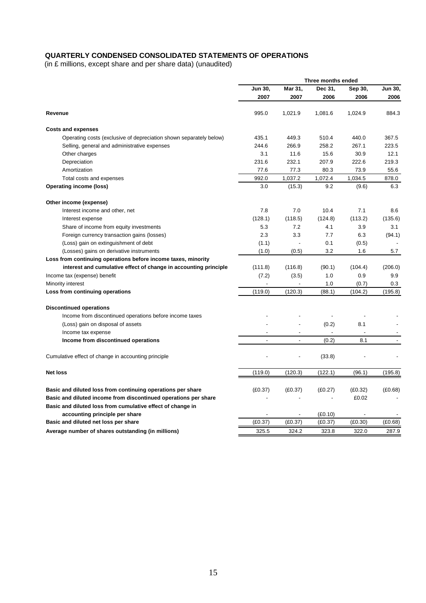# **QUARTERLY CONDENSED CONSOLIDATED STATEMENTS OF OPERATIONS**

(in £ millions, except share and per share data) (unaudited)

|                                                                    |         |         | Three months ended |         |         |
|--------------------------------------------------------------------|---------|---------|--------------------|---------|---------|
|                                                                    | Jun 30, | Mar 31, | Dec 31,            | Sep 30, | Jun 30, |
|                                                                    | 2007    | 2007    | 2006               | 2006    | 2006    |
| Revenue                                                            | 995.0   | 1,021.9 | 1,081.6            | 1,024.9 | 884.3   |
| <b>Costs and expenses</b>                                          |         |         |                    |         |         |
| Operating costs (exclusive of depreciation shown separately below) | 435.1   | 449.3   | 510.4              | 440.0   | 367.5   |
| Selling, general and administrative expenses                       | 244.6   | 266.9   | 258.2              | 267.1   | 223.5   |
| Other charges                                                      | 3.1     | 11.6    | 15.6               | 30.9    | 12.1    |
| Depreciation                                                       | 231.6   | 232.1   | 207.9              | 222.6   | 219.3   |
| Amortization                                                       | 77.6    | 77.3    | 80.3               | 73.9    | 55.6    |
| Total costs and expenses                                           | 992.0   | 1,037.2 | 1,072.4            | 1,034.5 | 878.0   |
| <b>Operating income (loss)</b>                                     | 3.0     | (15.3)  | 9.2                | (9.6)   | 6.3     |
| Other income (expense)                                             |         |         |                    |         |         |
| Interest income and other, net                                     | 7.8     | 7.0     | 10.4               | 7.1     | 8.6     |
| Interest expense                                                   | (128.1) | (118.5) | (124.8)            | (113.2) | (135.6) |
| Share of income from equity investments                            | 5.3     | 7.2     | 4.1                | 3.9     | 3.1     |
| Foreign currency transaction gains (losses)                        | 2.3     | 3.3     | 7.7                | 6.3     | (94.1)  |
| (Loss) gain on extinguishment of debt                              | (1.1)   | ÷,      | 0.1                | (0.5)   |         |
| (Losses) gains on derivative instruments                           | (1.0)   | (0.5)   | 3.2                | 1.6     | 5.7     |
| Loss from continuing operations before income taxes, minority      |         |         |                    |         |         |
| interest and cumulative effect of change in accounting principle   | (111.8) | (116.8) | (90.1)             | (104.4) | (206.0) |
| Income tax (expense) benefit                                       | (7.2)   | (3.5)   | 1.0                | 0.9     | 9.9     |
| Minority interest                                                  |         |         | 1.0                | (0.7)   | 0.3     |
| Loss from continuing operations                                    | (119.0) | (120.3) | (88.1)             | (104.2) | (195.8) |
| <b>Discontinued operations</b>                                     |         |         |                    |         |         |
| Income from discontinued operations before income taxes            |         |         |                    |         |         |
| (Loss) gain on disposal of assets                                  |         |         | (0.2)              | 8.1     |         |
| Income tax expense                                                 |         |         |                    |         |         |
| Income from discontinued operations                                |         |         | (0.2)              | 8.1     |         |
|                                                                    |         |         |                    |         |         |
| Cumulative effect of change in accounting principle                |         |         | (33.8)             |         |         |
| <b>Net loss</b>                                                    | (119.0) | (120.3) | (122.1)            | (96.1)  | (195.8) |
| Basic and diluted loss from continuing operations per share        | (E0.37) | (E0.37) | (E0.27)            | (E0.32) | (E0.68) |
| Basic and diluted income from discontinued operations per share    |         |         |                    | £0.02   |         |
| Basic and diluted loss from cumulative effect of change in         |         |         |                    |         |         |
| accounting principle per share                                     |         |         | (E0.10)            |         |         |
| Basic and diluted net loss per share                               | (£0.37) | (E0.37) | (E0.37)            | (E0.30) | (E0.68) |
| Average number of shares outstanding (in millions)                 | 325.5   | 324.2   | 323.8              | 322.0   | 287.9   |
|                                                                    |         |         |                    |         |         |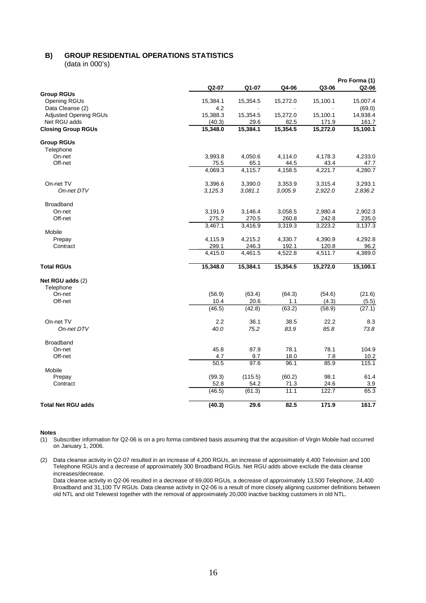# **B) GROUP RESIDENTIAL OPERATIONS STATISTICS**

(data in 000's)

|                                          |                  |                  |                  |                  | Pro Forma (1)   |
|------------------------------------------|------------------|------------------|------------------|------------------|-----------------|
|                                          | Q2-07            | Q1-07            | Q4-06            | Q3-06            | Q2-06           |
| <b>Group RGUs</b><br><b>Opening RGUs</b> | 15,384.1         | 15,354.5         | 15,272.0         | 15,100.1         | 15,007.4        |
| Data Cleanse (2)                         | 4.2              |                  |                  |                  | (69.0)          |
| <b>Adjusted Opening RGUs</b>             | 15,388.3         | 15,354.5         | 15,272.0         | 15,100.1         | 14,938.4        |
| Net RGU adds                             | (40.3)           | 29.6             | 82.5             | 171.9            | 161.7           |
| <b>Closing Group RGUs</b>                | 15,348.0         | 15,384.1         | 15,354.5         | 15,272.0         | 15,100.1        |
| <b>Group RGUs</b>                        |                  |                  |                  |                  |                 |
| Telephone                                |                  |                  |                  |                  |                 |
| On-net                                   | 3,993.8          | 4,050.6          | 4,114.0          | 4,178.3          | 4,233.0         |
| Off-net                                  | 75.5             | 65.1             | 44.5             | 43.4             | 47.7            |
|                                          | 4,069.3          | 4,115.7          | 4,158.5          | 4,221.7          | 4,280.7         |
| On-net TV                                | 3,396.6          | 3,390.0          | 3,353.9          | 3,315.4          | 3,293.1         |
| On-net DTV                               | 3, 125.3         | 3,081.1          | 3,005.9          | 2,922.0          | 2,836.2         |
| <b>Broadband</b>                         |                  |                  |                  |                  |                 |
| On-net                                   | 3,191.9          | 3,146.4          | 3,058.5          | 2,980.4          | 2,902.3         |
| Off-net                                  | 275.2            | 270.5            | 260.8            | 242.8            | 235.0           |
|                                          | 3,467.1          | 3,416.9          | 3,319.3          | 3,223.2          | 3,137.3         |
| Mobile                                   |                  |                  |                  |                  |                 |
| Prepay                                   | 4,115.9          | 4,215.2          | 4,330.7          | 4,390.9          | 4,292.8         |
| Contract                                 | 299.1<br>4,415.0 | 246.3<br>4,461.5 | 192.1<br>4,522.8 | 120.8<br>4,511.7 | 96.2<br>4,389.0 |
|                                          |                  |                  |                  |                  |                 |
| <b>Total RGUs</b>                        | 15,348.0         | 15,384.1         | 15,354.5         | 15,272.0         | 15,100.1        |
| Net RGU adds (2)                         |                  |                  |                  |                  |                 |
| Telephone                                |                  |                  |                  |                  |                 |
| On-net                                   | (56.9)           | (63.4)           | (64.3)           | (54.6)           | (21.6)          |
| Off-net                                  | 10.4             | 20.6             | 1.1              | (4.3)            | (5.5)           |
|                                          | (46.5)           | (42.8)           | (63.2)           | (58.9)           | (27.1)          |
| On-net TV                                | 2.2              | 36.1             | 38.5             | 22.2             | 8.3             |
| On-net DTV                               | 40.0             | 75.2             | 83.9             | 85.8             | 73.8            |
| <b>Broadband</b>                         |                  |                  |                  |                  |                 |
| On-net                                   | 45.8             | 87.9             | 78.1             | 78.1             | 104.9           |
| Off-net                                  | 4.7              | 9.7              | 18.0             | 7.8              | 10.2            |
| Mobile                                   | 50.5             | 97.6             | 96.1             | 85.9             | 115.1           |
| Prepay                                   | (99.3)           | (115.5)          | (60.2)           | 98.1             | 61.4            |
| Contract                                 | 52.8             | 54.2             | 71.3             | 24.6             | 3.9             |
|                                          | (46.5)           | (61.3)           | 11.1             | 122.7            | 65.3            |
| <b>Total Net RGU adds</b>                | (40.3)           | 29.6             | 82.5             | 171.9            | 161.7           |

#### **Notes**

(1) Subscriber information for Q2-06 is on a pro forma combined basis assuming that the acquisition of Virgin Mobile had occurred on January 1, 2006.

(2) Data cleanse activity in Q2-07 resulted in an increase of 4,200 RGUs, an increase of approximately 4,400 Television and 100 Telephone RGUs and a decrease of approximately 300 Broadband RGUs. Net RGU adds above exclude the data cleanse increases/decrease.

Data cleanse activity in Q2-06 resulted in a decrease of 69,000 RGUs, a decrease of approximately 13,500 Telephone, 24,400 Broadband and 31,100 TV RGUs. Data cleanse activity in Q2-06 is a result of more closely aligning customer definitions between old NTL and old Telewest together with the removal of approximately 20,000 inactive backlog customers in old NTL.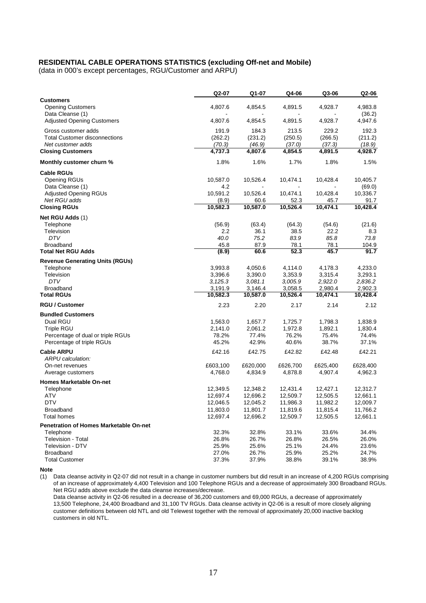## **RESIDENTIAL CABLE OPERATIONS STATISTICS (excluding Off-net and Mobile)**

(data in 000's except percentages, RGU/Customer and ARPU)

|                                                                                                                      | Q2-07                                                    | Q1-07                                                    | Q4-06                                                    | Q3-06                                                    | Q2-06                                                    |
|----------------------------------------------------------------------------------------------------------------------|----------------------------------------------------------|----------------------------------------------------------|----------------------------------------------------------|----------------------------------------------------------|----------------------------------------------------------|
| <b>Customers</b><br><b>Opening Customers</b><br>Data Cleanse (1)                                                     | 4,807.6                                                  | 4,854.5                                                  | 4,891.5                                                  | 4,928.7                                                  | 4,983.8<br>(36.2)                                        |
| <b>Adjusted Opening Customers</b>                                                                                    | 4,807.6                                                  | 4,854.5                                                  | 4,891.5                                                  | 4,928.7                                                  | 4,947.6                                                  |
| Gross customer adds<br><b>Total Customer disconnections</b><br>Net customer adds                                     | 191.9<br>(262.2)<br>(70.3)                               | 184.3<br>(231.2)<br>(46.9)                               | 213.5<br>(250.5)<br>(37.0)                               | 229.2<br>(266.5)<br>(37.3)                               | 192.3<br>(211.2)<br>(18.9)                               |
| <b>Closing Customers</b>                                                                                             | 4,737.3                                                  | 4,807.6                                                  | 4,854.5                                                  | 4,891.5                                                  | 4,928.7                                                  |
| Monthly customer churn %                                                                                             | 1.8%                                                     | 1.6%                                                     | 1.7%                                                     | 1.8%                                                     | 1.5%                                                     |
| <b>Cable RGUs</b><br>Opening RGUs                                                                                    | 10,587.0                                                 | 10,526.4                                                 | 10,474.1                                                 | 10,428.4                                                 | 10,405.7                                                 |
| Data Cleanse (1)<br><b>Adjusted Opening RGUs</b><br>Net RGU adds                                                     | 4.2<br>10,591.2<br>(8.9)                                 | 10,526.4<br>60.6                                         | 10,474.1<br>52.3                                         | 10,428.4<br>45.7                                         | (69.0)<br>10,336.7<br>91.7                               |
| <b>Closing RGUs</b>                                                                                                  | 10,582.3                                                 | 10,587.0                                                 | 10,526.4                                                 | 10,474.1                                                 | 10,428.4                                                 |
| Net RGU Adds (1)<br>Telephone                                                                                        | (56.9)                                                   | (63.4)                                                   | (64.3)                                                   | (54.6)                                                   | (21.6)                                                   |
| Television<br><b>DTV</b>                                                                                             | 2.2<br>40.0                                              | 36.1<br>75.2                                             | 38.5<br>83.9                                             | 22.2<br>85.8                                             | 8.3<br>73.8                                              |
| <b>Broadband</b>                                                                                                     | 45.8                                                     | 87.9                                                     | 78.1                                                     | 78.1                                                     | 104.9                                                    |
| <b>Total Net RGU Adds</b>                                                                                            | (8.9)                                                    | 60.6                                                     | 52.3                                                     | 45.7                                                     | 91.7                                                     |
| <b>Revenue Generating Units (RGUs)</b><br>Telephone<br>Television                                                    | 3,993.8<br>3,396.6                                       | 4,050.6<br>3,390.0                                       | 4,114.0<br>3,353.9                                       | 4,178.3<br>3,315.4                                       | 4,233.0<br>3,293.1                                       |
| <b>DTV</b><br><b>Broadband</b>                                                                                       | 3,125.3<br>3,191.9                                       | 3,081.1<br>3,146.4                                       | 3,005.9<br>3,058.5                                       | 2,922.0<br>2,980.4                                       | 2,836.2<br>2,902.3                                       |
| <b>Total RGUs</b>                                                                                                    | 10,582.3                                                 | 10,587.0                                                 | 10,526.4                                                 | 10,474.1                                                 | 10,428.4                                                 |
| <b>RGU / Customer</b>                                                                                                | 2.23                                                     | 2.20                                                     | 2.17                                                     | 2.14                                                     | 2.12                                                     |
| <b>Bundled Customers</b><br>Dual RGU<br>Triple RGU<br>Percentage of dual or triple RGUs<br>Percentage of triple RGUs | 1,563.0<br>2,141.0<br>78.2%<br>45.2%                     | 1,657.7<br>2,061.2<br>77.4%<br>42.9%                     | 1,725.7<br>1,972.8<br>76.2%<br>40.6%                     | 1,798.3<br>1,892.1<br>75.4%<br>38.7%                     | 1,838.9<br>1,830.4<br>74.4%<br>37.1%                     |
| <b>Cable ARPU</b><br>ARPU calculation:<br>On-net revenues                                                            | £42.16<br>£603,100                                       | £42.75<br>£620,000                                       | £42.82<br>£626,700                                       | £42.48<br>£625,400                                       | £42.21<br>£628,400                                       |
| Average customers                                                                                                    | 4,768.0                                                  | 4,834.9                                                  | 4,878.8                                                  | 4,907.4                                                  | 4,962.3                                                  |
| <b>Homes Marketable On-net</b>                                                                                       |                                                          |                                                          |                                                          |                                                          |                                                          |
| Telephone<br><b>ATV</b><br><b>DTV</b><br><b>Broadband</b><br><b>Total homes</b>                                      | 12,349.5<br>12,697.4<br>12,046.5<br>11,803.0<br>12,697.4 | 12,348.2<br>12,696.2<br>12,045.2<br>11,801.7<br>12,696.2 | 12,431.4<br>12,509.7<br>11,986.3<br>11,819.6<br>12,509.7 | 12,427.1<br>12,505.5<br>11,982.2<br>11,815.4<br>12,505.5 | 12,312.7<br>12,661.1<br>12,009.7<br>11,766.2<br>12,661.1 |
| Penetration of Homes Marketable On-net                                                                               |                                                          |                                                          |                                                          |                                                          |                                                          |
| Telephone<br><b>Television - Total</b><br>Television - DTV<br><b>Broadband</b>                                       | 32.3%<br>26.8%<br>25.9%<br>27.0%                         | 32.8%<br>26.7%<br>25.6%<br>26.7%                         | 33.1%<br>26.8%<br>25.1%<br>25.9%                         | 33.6%<br>26.5%<br>24.4%<br>25.2%                         | 34.4%<br>26.0%<br>23.6%<br>24.7%                         |
| <b>Total Customer</b>                                                                                                | 37.3%                                                    | 37.9%                                                    | 38.8%                                                    | 39.1%                                                    | 38.9%                                                    |

**Note**

(1) Data cleanse activity in Q2-07 did not result in a change in customer numbers but did result in an increase of 4,200 RGUs comprising of an increase of approximately 4,400 Television and 100 Telephone RGUs and a decrease of approximately 300 Broadband RGUs. Net RGU adds above exclude the data cleanse increases/decrease.

Data cleanse activity in Q2-06 resulted in a decrease of 36,200 customers and 69,000 RGUs, a decrease of approximately 13,500 Telephone, 24,400 Broadband and 31,100 TV RGUs. Data cleanse activity in Q2-06 is a result of more closely aligning customer definitions between old NTL and old Telewest together with the removal of approximately 20,000 inactive backlog customers in old NTL.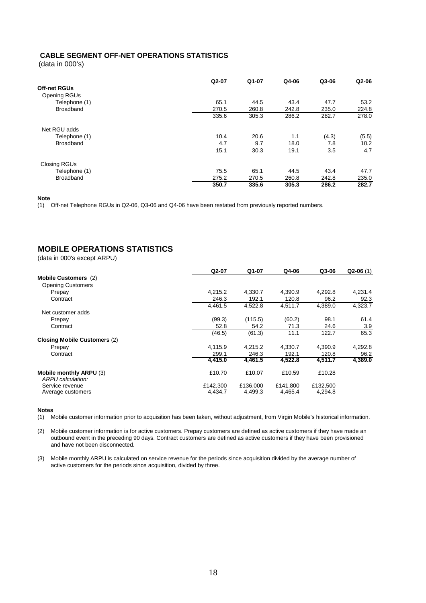## **CABLE SEGMENT OFF-NET OPERATIONS STATISTICS**

(data in 000's)

|                     | Q2-07 | Q1-07 | Q4-06 | Q3-06 | Q2-06 |
|---------------------|-------|-------|-------|-------|-------|
| <b>Off-net RGUs</b> |       |       |       |       |       |
| Opening RGUs        |       |       |       |       |       |
| Telephone (1)       | 65.1  | 44.5  | 43.4  | 47.7  | 53.2  |
| Broadband           | 270.5 | 260.8 | 242.8 | 235.0 | 224.8 |
|                     | 335.6 | 305.3 | 286.2 | 282.7 | 278.0 |
| Net RGU adds        |       |       |       |       |       |
| Telephone (1)       | 10.4  | 20.6  | 1.1   | (4.3) | (5.5) |
| <b>Broadband</b>    | 4.7   | 9.7   | 18.0  | 7.8   | 10.2  |
|                     | 15.1  | 30.3  | 19.1  | 3.5   | 4.7   |
| <b>Closing RGUs</b> |       |       |       |       |       |
| Telephone (1)       | 75.5  | 65.1  | 44.5  | 43.4  | 47.7  |
| <b>Broadband</b>    | 275.2 | 270.5 | 260.8 | 242.8 | 235.0 |
|                     | 350.7 | 335.6 | 305.3 | 286.2 | 282.7 |

**Note**

(1) Off-net Telephone RGUs in Q2-06, Q3-06 and Q4-06 have been restated from previously reported numbers.

# **MOBILE OPERATIONS STATISTICS**

(data in 000's except ARPU)

|                                     | Q2-07    | Q1-07    | Q4-06    | Q3-06    | $Q2-06(1)$ |
|-------------------------------------|----------|----------|----------|----------|------------|
| <b>Mobile Customers (2)</b>         |          |          |          |          |            |
| <b>Opening Customers</b>            |          |          |          |          |            |
| Prepay                              | 4.215.2  | 4.330.7  | 4.390.9  | 4.292.8  | 4,231.4    |
| Contract                            | 246.3    | 192.1    | 120.8    | 96.2     | 92.3       |
|                                     | 4,461.5  | 4,522.8  | 4,511.7  | 4,389.0  | 4,323.7    |
| Net customer adds                   |          |          |          |          |            |
| Prepay                              | (99.3)   | (115.5)  | (60.2)   | 98.1     | 61.4       |
| Contract                            | 52.8     | 54.2     | 71.3     | 24.6     | 3.9        |
|                                     | (46.5)   | (61.3)   | 11.1     | 122.7    | 65.3       |
| <b>Closing Mobile Customers (2)</b> |          |          |          |          |            |
| Prepay                              | 4.115.9  | 4.215.2  | 4.330.7  | 4.390.9  | 4.292.8    |
| Contract                            | 299.1    | 246.3    | 192.1    | 120.8    | 96.2       |
|                                     | 4,415.0  | 4,461.5  | 4,522.8  | 4,511.7  | 4,389.0    |
| Mobile monthly ARPU (3)             | £10.70   | £10.07   | £10.59   | £10.28   |            |
| Service revenue                     | £142,300 | £136,000 | £141,800 | £132,500 |            |
| Average customers                   | 4,434.7  | 4,499.3  | 4,465.4  | 4,294.8  |            |
| ARPU calculation:                   |          |          |          |          |            |

#### **Notes**

(1) Mobile customer information prior to acquisition has been taken, without adjustment, from Virgin Mobile's historical information.

(2) Mobile customer information is for active customers. Prepay customers are defined as active customers if they have made an outbound event in the preceding 90 days. Contract customers are defined as active customers if they have been provisioned and have not been disconnected.

(3) Mobile monthly ARPU is calculated on service revenue for the periods since acquisition divided by the average number of active customers for the periods since acquisition, divided by three.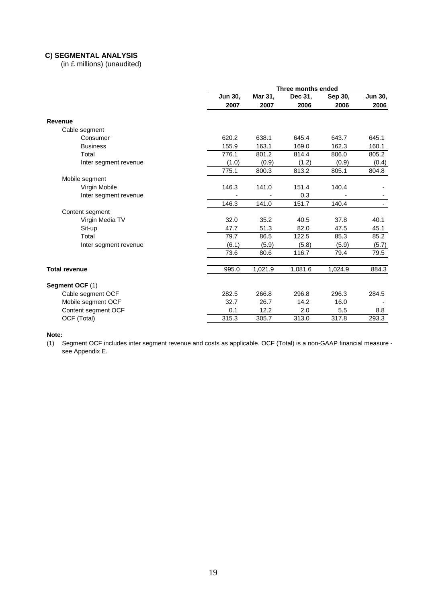## **C) SEGMENTAL ANALYSIS**

(in £ millions) (unaudited)

|                                         | Three months ended |         |                      |         |                |  |  |
|-----------------------------------------|--------------------|---------|----------------------|---------|----------------|--|--|
|                                         | Jun 30,            | Mar 31, | Dec 31,              | Sep 30, | <b>Jun 30,</b> |  |  |
|                                         | 2007               | 2007    | 2006                 | 2006    | 2006           |  |  |
| Revenue                                 |                    |         |                      |         |                |  |  |
| Cable segment                           |                    |         |                      |         |                |  |  |
| Consumer                                | 620.2              | 638.1   | 645.4                | 643.7   | 645.1          |  |  |
| <b>Business</b>                         | 155.9              | 163.1   | 169.0                | 162.3   | 160.1          |  |  |
| Total                                   | 776.1              | 801.2   | 814.4                | 806.0   | 805.2          |  |  |
| Inter segment revenue                   | (1.0)              | (0.9)   | (1.2)                | (0.9)   | (0.4)          |  |  |
|                                         | 775.1              | 800.3   | 813.2                | 805.1   | 804.8          |  |  |
| Mobile segment                          |                    |         |                      |         |                |  |  |
| Virgin Mobile                           | 146.3              | 141.0   | 151.4                | 140.4   |                |  |  |
| Inter segment revenue                   |                    |         | 0.3                  |         |                |  |  |
|                                         | 146.3              | 141.0   | 151.7                | 140.4   |                |  |  |
| Content segment                         |                    |         |                      |         |                |  |  |
| Virgin Media TV                         | 32.0               | 35.2    | 40.5                 | 37.8    | 40.1           |  |  |
| Sit-up                                  | 47.7               | 51.3    | 82.0                 | 47.5    | 45.1           |  |  |
| Total                                   | 79.7               | 86.5    | 122.5                | 85.3    | 85.2           |  |  |
| Inter segment revenue                   | (6.1)              | (5.9)   | (5.8)                | (5.9)   | (5.7)          |  |  |
|                                         | 73.6               | 80.6    | 116.7                | 79.4    | 79.5           |  |  |
| <b>Total revenue</b>                    | 995.0              | 1,021.9 | $1,081.\overline{6}$ | 1,024.9 | 884.3          |  |  |
| Segment OCF (1)                         |                    |         |                      |         |                |  |  |
|                                         | 282.5              | 266.8   | 296.8                | 296.3   | 284.5          |  |  |
| Cable segment OCF<br>Mobile segment OCF | 32.7               | 26.7    | 14.2                 | 16.0    |                |  |  |
| Content segment OCF                     | 0.1                | 12.2    | 2.0                  | 5.5     | 8.8            |  |  |
| OCF (Total)                             | 315.3              | 305.7   | 313.0                | 317.8   | 293.3          |  |  |
|                                         |                    |         |                      |         |                |  |  |

**Note:**

(1) Segment OCF includes inter segment revenue and costs as applicable. OCF (Total) is a non-GAAP financial measure see Appendix E.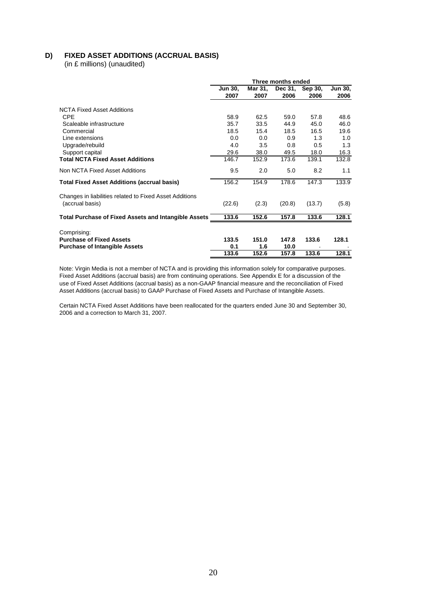# **D) FIXED ASSET ADDITIONS (ACCRUAL BASIS)**

(in £ millions) (unaudited)

| Three months ended |                                                                |                                                                |                                                                 |                                                         |  |
|--------------------|----------------------------------------------------------------|----------------------------------------------------------------|-----------------------------------------------------------------|---------------------------------------------------------|--|
| <b>Jun 30.</b>     | Mar 31,                                                        | Dec 31,                                                        | Sep 30,                                                         | <b>Jun 30.</b>                                          |  |
| 2007               | 2007                                                           | 2006                                                           | 2006                                                            | 2006                                                    |  |
|                    |                                                                |                                                                |                                                                 |                                                         |  |
|                    |                                                                |                                                                |                                                                 | 48.6                                                    |  |
|                    |                                                                |                                                                |                                                                 |                                                         |  |
|                    |                                                                |                                                                |                                                                 | 46.0                                                    |  |
|                    |                                                                |                                                                |                                                                 | 19.6                                                    |  |
| 0.0                | 0.0                                                            | 0.9                                                            | 1.3                                                             | 1.0                                                     |  |
| 4.0                | 3.5                                                            | 0.8                                                            | 0.5                                                             | 1.3                                                     |  |
|                    |                                                                |                                                                |                                                                 | 16.3                                                    |  |
| 146.7              | 152.9                                                          | 173.6                                                          | 139.1                                                           | 132.8                                                   |  |
| 9.5                | 2.0                                                            | 5.0                                                            | 8.2                                                             | 1.1                                                     |  |
| 156.2              | 154.9                                                          | 178.6                                                          | 147.3                                                           | 133.9                                                   |  |
|                    |                                                                |                                                                |                                                                 |                                                         |  |
| (22.6)             | (2.3)                                                          | (20.8)                                                         | (13.7)                                                          | (5.8)                                                   |  |
|                    |                                                                |                                                                |                                                                 |                                                         |  |
|                    |                                                                |                                                                |                                                                 | 128.1                                                   |  |
|                    |                                                                |                                                                |                                                                 |                                                         |  |
|                    |                                                                |                                                                |                                                                 | 128.1                                                   |  |
|                    |                                                                |                                                                |                                                                 |                                                         |  |
|                    |                                                                |                                                                |                                                                 | 128.1                                                   |  |
|                    | 58.9<br>35.7<br>18.5<br>29.6<br>133.6<br>133.5<br>0.1<br>133.6 | 62.5<br>33.5<br>15.4<br>38.0<br>152.6<br>151.0<br>1.6<br>152.6 | 59.0<br>44.9<br>18.5<br>49.5<br>157.8<br>147.8<br>10.0<br>157.8 | 57.8<br>45.0<br>16.5<br>18.0<br>133.6<br>133.6<br>133.6 |  |

Note: Virgin Media is not a member of NCTA and is providing this information solely for comparative purposes. Fixed Asset Additions (accrual basis) are from continuing operations. See Appendix E for a discussion of the use of Fixed Asset Additions (accrual basis) as a non-GAAP financial measure and the reconciliation of Fixed Asset Additions (accrual basis) to GAAP Purchase of Fixed Assets and Purchase of Intangible Assets.

Certain NCTA Fixed Asset Additions have been reallocated for the quarters ended June 30 and September 30, 2006 and a correction to March 31, 2007.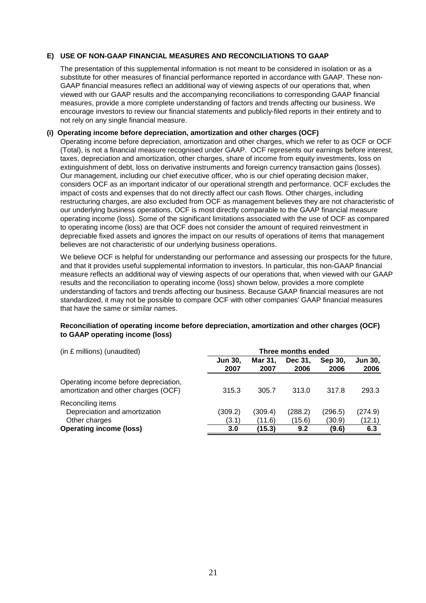## **E) USE OF NON-GAAP FINANCIAL MEASURES AND RECONCILIATIONS TO GAAP**

The presentation of this supplemental information is not meant to be considered in isolation or as a substitute for other measures of financial performance reported in accordance with GAAP. These non-GAAP financial measures reflect an additional way of viewing aspects of our operations that, when viewed with our GAAP results and the accompanying reconciliations to corresponding GAAP financial measures, provide a more complete understanding of factors and trends affecting our business. We encourage investors to review our financial statements and publicly-filed reports in their entirety and to not rely on any single financial measure.

## **(i) Operating income before depreciation, amortization and other charges (OCF)**

Operating income before depreciation, amortization and other charges, which we refer to as OCF or OCF (Total), is not a financial measure recognised under GAAP. OCF represents our earnings before interest, taxes, depreciation and amortization, other charges, share of income from equity investments, loss on extinguishment of debt, loss on derivative instruments and foreign currency transaction gains (losses). Our management, including our chief executive officer, who is our chief operating decision maker, considers OCF as an important indicator of our operational strength and performance. OCF excludes the impact of costs and expenses that do not directly affect our cash flows. Other charges, including restructuring charges, are also excluded from OCF as management believes they are not characteristic of our underlying business operations. OCF is most directly comparable to the GAAP financial measure operating income (loss). Some of the significant limitations associated with the use of OCF as compared to operating income (loss) are that OCF does not consider the amount of required reinvestment in depreciable fixed assets and ignores the impact on our results of operations of items that management believes are not characteristic of our underlying business operations.

We believe OCF is helpful for understanding our performance and assessing our prospects for the future, and that it provides useful supplemental information to investors. In particular, this non-GAAP financial measure reflects an additional way of viewing aspects of our operations that, when viewed with our GAAP results and the reconciliation to operating income (loss) shown below, provides a more complete understanding of factors and trends affecting our business. Because GAAP financial measures are not standardized, it may not be possible to compare OCF with other companies' GAAP financial measures that have the same or similar names.

## **Reconciliation of operating income before depreciation, amortization and other charges (OCF) to GAAP operating income (loss)**

| (in £ millions) (unaudited)                                                   | Three months ended     |                   |                   |                   |                        |  |
|-------------------------------------------------------------------------------|------------------------|-------------------|-------------------|-------------------|------------------------|--|
|                                                                               | <b>Jun 30,</b><br>2007 | Mar 31.<br>2007   | Dec 31.<br>2006   | Sep 30,<br>2006   | <b>Jun 30,</b><br>2006 |  |
| Operating income before depreciation,<br>amortization and other charges (OCF) | 315.3                  | 305.7             | 313.0             | 317.8             | 293.3                  |  |
| Reconciling items<br>Depreciation and amortization<br>Other charges           | (309.2)<br>(3.1)       | (309.4)<br>(11.6) | (288.2)<br>(15.6) | (296.5)<br>(30.9) | (274.9)<br>(12.1)      |  |
| <b>Operating income (loss)</b>                                                | 3.0                    | (15.3)            | 9.2               | (9.6)             | 6.3                    |  |